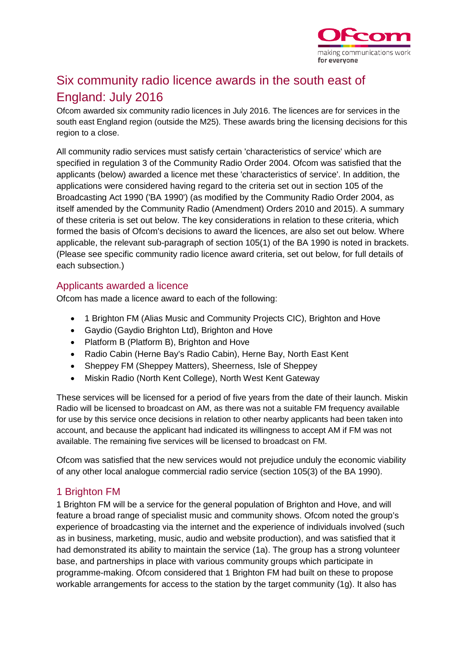

# Six community radio licence awards in the south east of England: July 2016

Ofcom awarded six community radio licences in July 2016. The licences are for services in the south east England region (outside the M25). These awards bring the licensing decisions for this region to a close.

All community radio services must satisfy certain 'characteristics of service' which are specified in regulation 3 of the Community Radio Order 2004. Ofcom was satisfied that the applicants (below) awarded a licence met these 'characteristics of service'. In addition, the applications were considered having regard to the criteria set out in section 105 of the Broadcasting Act 1990 ('BA 1990') (as modified by the Community Radio Order 2004, as itself amended by the Community Radio (Amendment) Orders 2010 and 2015). A summary of these criteria is set out below. The key considerations in relation to these criteria, which formed the basis of Ofcom's decisions to award the licences, are also set out below. Where applicable, the relevant sub-paragraph of section 105(1) of the BA 1990 is noted in brackets. (Please see specific community radio licence award criteria, set out below, for full details of each subsection.)

#### Applicants awarded a licence

Ofcom has made a licence award to each of the following:

- 1 Brighton FM (Alias Music and Community Projects CIC), Brighton and Hove
- Gaydio (Gaydio Brighton Ltd), Brighton and Hove
- Platform B (Platform B), Brighton and Hove
- Radio Cabin (Herne Bay's Radio Cabin), Herne Bay, North East Kent
- Sheppey FM (Sheppey Matters), Sheerness, Isle of Sheppey
- Miskin Radio (North Kent College), North West Kent Gateway

These services will be licensed for a period of five years from the date of their launch. Miskin Radio will be licensed to broadcast on AM, as there was not a suitable FM frequency available for use by this service once decisions in relation to other nearby applicants had been taken into account, and because the applicant had indicated its willingness to accept AM if FM was not available. The remaining five services will be licensed to broadcast on FM.

Ofcom was satisfied that the new services would not prejudice unduly the economic viability of any other local analogue commercial radio service (section 105(3) of the BA 1990).

## 1 Brighton FM

1 Brighton FM will be a service for the general population of Brighton and Hove, and will feature a broad range of specialist music and community shows. Ofcom noted the group's experience of broadcasting via the internet and the experience of individuals involved (such as in business, marketing, music, audio and website production), and was satisfied that it had demonstrated its ability to maintain the service (1a). The group has a strong volunteer base, and partnerships in place with various community groups which participate in programme-making. Ofcom considered that 1 Brighton FM had built on these to propose workable arrangements for access to the station by the target community (1g). It also has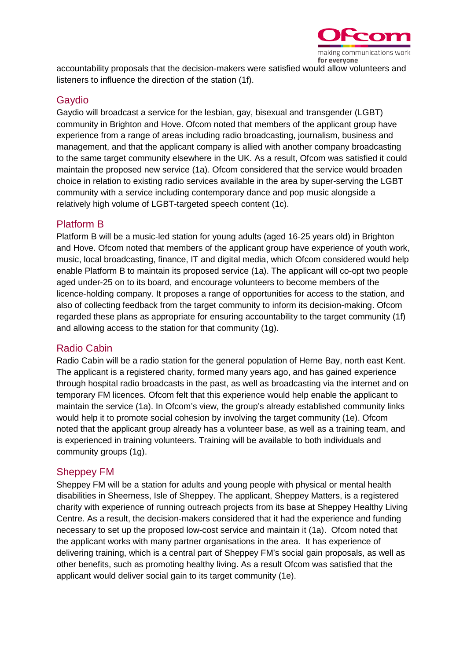

accountability proposals that the decision-makers were satisfied would allow volunteers and listeners to influence the direction of the station (1f).

#### **Gavdio**

Gaydio will broadcast a service for the lesbian, gay, bisexual and transgender (LGBT) community in Brighton and Hove. Ofcom noted that members of the applicant group have experience from a range of areas including radio broadcasting, journalism, business and management, and that the applicant company is allied with another company broadcasting to the same target community elsewhere in the UK. As a result, Ofcom was satisfied it could maintain the proposed new service (1a). Ofcom considered that the service would broaden choice in relation to existing radio services available in the area by super-serving the LGBT community with a service including contemporary dance and pop music alongside a relatively high volume of LGBT-targeted speech content (1c).

## Platform B

Platform B will be a music-led station for young adults (aged 16-25 years old) in Brighton and Hove. Ofcom noted that members of the applicant group have experience of youth work, music, local broadcasting, finance, IT and digital media, which Ofcom considered would help enable Platform B to maintain its proposed service (1a). The applicant will co-opt two people aged under-25 on to its board, and encourage volunteers to become members of the licence-holding company. It proposes a range of opportunities for access to the station, and also of collecting feedback from the target community to inform its decision-making. Ofcom regarded these plans as appropriate for ensuring accountability to the target community (1f) and allowing access to the station for that community (1g).

#### Radio Cabin

Radio Cabin will be a radio station for the general population of Herne Bay, north east Kent. The applicant is a registered charity, formed many years ago, and has gained experience through hospital radio broadcasts in the past, as well as broadcasting via the internet and on temporary FM licences. Ofcom felt that this experience would help enable the applicant to maintain the service (1a). In Ofcom's view, the group's already established community links would help it to promote social cohesion by involving the target community (1e). Ofcom noted that the applicant group already has a volunteer base, as well as a training team, and is experienced in training volunteers. Training will be available to both individuals and community groups (1g).

#### Sheppey FM

Sheppey FM will be a station for adults and young people with physical or mental health disabilities in Sheerness, Isle of Sheppey. The applicant, Sheppey Matters, is a registered charity with experience of running outreach projects from its base at Sheppey Healthy Living Centre. As a result, the decision-makers considered that it had the experience and funding necessary to set up the proposed low-cost service and maintain it (1a). Ofcom noted that the applicant works with many partner organisations in the area. It has experience of delivering training, which is a central part of Sheppey FM's social gain proposals, as well as other benefits, such as promoting healthy living. As a result Ofcom was satisfied that the applicant would deliver social gain to its target community (1e).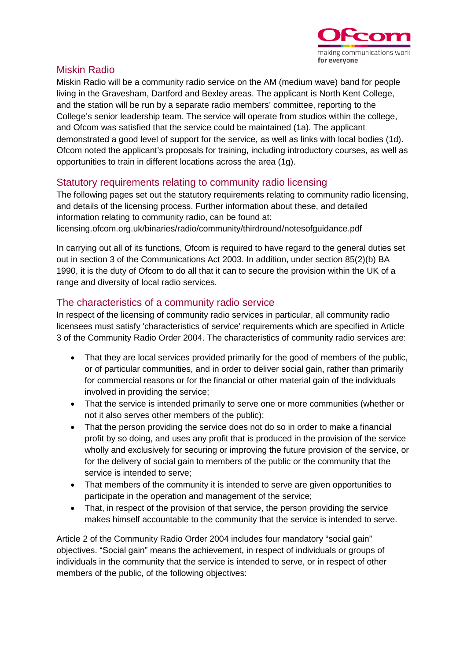

## Miskin Radio

Miskin Radio will be a community radio service on the AM (medium wave) band for people living in the Gravesham, Dartford and Bexley areas. The applicant is North Kent College, and the station will be run by a separate radio members' committee, reporting to the College's senior leadership team. The service will operate from studios within the college, and Ofcom was satisfied that the service could be maintained (1a). The applicant demonstrated a good level of support for the service, as well as links with local bodies (1d). Ofcom noted the applicant's proposals for training, including introductory courses, as well as opportunities to train in different locations across the area (1g).

## Statutory requirements relating to community radio licensing

The following pages set out the statutory requirements relating to community radio licensing, and details of the licensing process. Further information about these, and detailed information relating to community radio, can be found at: licensing.ofcom.org.uk/binaries/radio/community/thirdround/notesofguidance.pdf

In carrying out all of its functions, Ofcom is required to have regard to the general duties set out in section 3 of the Communications Act 2003. In addition, under section 85(2)(b) BA 1990, it is the duty of Ofcom to do all that it can to secure the provision within the UK of a range and diversity of local radio services.

## The characteristics of a community radio service

In respect of the licensing of community radio services in particular, all community radio licensees must satisfy 'characteristics of service' requirements which are specified in Article 3 of the Community Radio Order 2004. The characteristics of community radio services are:

- That they are local services provided primarily for the good of members of the public, or of particular communities, and in order to deliver social gain, rather than primarily for commercial reasons or for the financial or other material gain of the individuals involved in providing the service;
- That the service is intended primarily to serve one or more communities (whether or not it also serves other members of the public);
- That the person providing the service does not do so in order to make a financial profit by so doing, and uses any profit that is produced in the provision of the service wholly and exclusively for securing or improving the future provision of the service, or for the delivery of social gain to members of the public or the community that the service is intended to serve;
- That members of the community it is intended to serve are given opportunities to participate in the operation and management of the service;
- That, in respect of the provision of that service, the person providing the service makes himself accountable to the community that the service is intended to serve.

Article 2 of the Community Radio Order 2004 includes four mandatory "social gain" objectives. "Social gain" means the achievement, in respect of individuals or groups of individuals in the community that the service is intended to serve, or in respect of other members of the public, of the following objectives: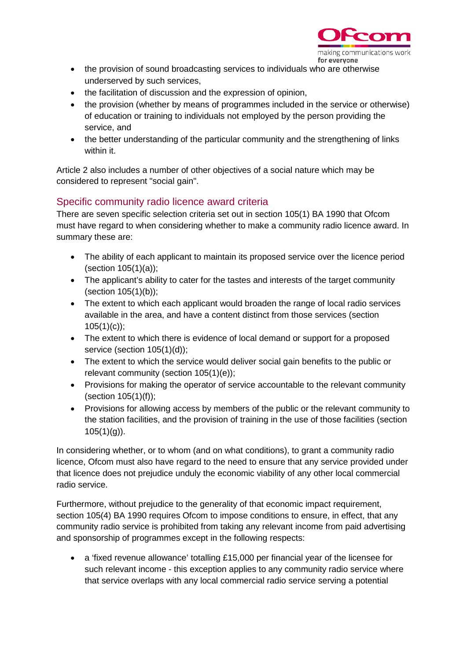

- the provision of sound broadcasting services to individuals who are otherwise underserved by such services,
- the facilitation of discussion and the expression of opinion,
- the provision (whether by means of programmes included in the service or otherwise) of education or training to individuals not employed by the person providing the service, and
- the better understanding of the particular community and the strengthening of links within it.

Article 2 also includes a number of other objectives of a social nature which may be considered to represent "social gain".

## Specific community radio licence award criteria

There are seven specific selection criteria set out in section 105(1) BA 1990 that Ofcom must have regard to when considering whether to make a community radio licence award. In summary these are:

- The ability of each applicant to maintain its proposed service over the licence period (section 105(1)(a));
- The applicant's ability to cater for the tastes and interests of the target community (section 105(1)(b));
- The extent to which each applicant would broaden the range of local radio services available in the area, and have a content distinct from those services (section  $105(1)(c)$ ;
- The extent to which there is evidence of local demand or support for a proposed service (section 105(1)(d));
- The extent to which the service would deliver social gain benefits to the public or relevant community (section 105(1)(e));
- Provisions for making the operator of service accountable to the relevant community (section  $105(1)(f)$ );
- Provisions for allowing access by members of the public or the relevant community to the station facilities, and the provision of training in the use of those facilities (section  $105(1)(q)$ ).

In considering whether, or to whom (and on what conditions), to grant a community radio licence, Ofcom must also have regard to the need to ensure that any service provided under that licence does not prejudice unduly the economic viability of any other local commercial radio service.

Furthermore, without prejudice to the generality of that economic impact requirement, section 105(4) BA 1990 requires Ofcom to impose conditions to ensure, in effect, that any community radio service is prohibited from taking any relevant income from paid advertising and sponsorship of programmes except in the following respects:

• a 'fixed revenue allowance' totalling £15,000 per financial year of the licensee for such relevant income - this exception applies to any community radio service where that service overlaps with any local commercial radio service serving a potential